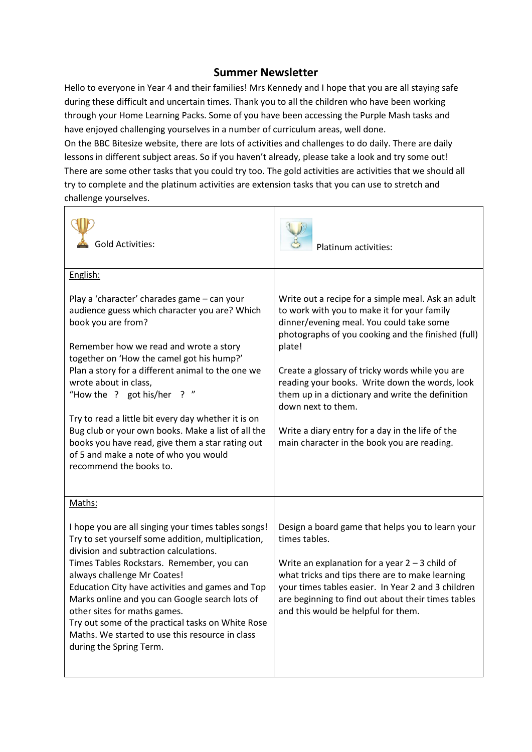## **Summer Newsletter**

Hello to everyone in Year 4 and their families! Mrs Kennedy and I hope that you are all staying safe during these difficult and uncertain times. Thank you to all the children who have been working through your Home Learning Packs. Some of you have been accessing the Purple Mash tasks and have enjoyed challenging yourselves in a number of curriculum areas, well done.

On the BBC Bitesize website, there are lots of activities and challenges to do daily. There are daily lessons in different subject areas. So if you haven't already, please take a look and try some out! There are some other tasks that you could try too. The gold activities are activities that we should all try to complete and the platinum activities are extension tasks that you can use to stretch and challenge yourselves.

| <b>Gold Activities:</b>                                                                                                                                                                                                                                                                                                                                                                                                                                                                                                                                    | <b>Platinum activities:</b>                                                                                                                                                                                                                                                                                                                                                                                                                                                                     |
|------------------------------------------------------------------------------------------------------------------------------------------------------------------------------------------------------------------------------------------------------------------------------------------------------------------------------------------------------------------------------------------------------------------------------------------------------------------------------------------------------------------------------------------------------------|-------------------------------------------------------------------------------------------------------------------------------------------------------------------------------------------------------------------------------------------------------------------------------------------------------------------------------------------------------------------------------------------------------------------------------------------------------------------------------------------------|
| English:                                                                                                                                                                                                                                                                                                                                                                                                                                                                                                                                                   |                                                                                                                                                                                                                                                                                                                                                                                                                                                                                                 |
| Play a 'character' charades game - can your<br>audience guess which character you are? Which<br>book you are from?<br>Remember how we read and wrote a story<br>together on 'How the camel got his hump?'<br>Plan a story for a different animal to the one we<br>wrote about in class,<br>"How the ? got his/her ? "<br>Try to read a little bit every day whether it is on<br>Bug club or your own books. Make a list of all the<br>books you have read, give them a star rating out<br>of 5 and make a note of who you would<br>recommend the books to. | Write out a recipe for a simple meal. Ask an adult<br>to work with you to make it for your family<br>dinner/evening meal. You could take some<br>photographs of you cooking and the finished (full)<br>plate!<br>Create a glossary of tricky words while you are<br>reading your books. Write down the words, look<br>them up in a dictionary and write the definition<br>down next to them.<br>Write a diary entry for a day in the life of the<br>main character in the book you are reading. |
| Maths:                                                                                                                                                                                                                                                                                                                                                                                                                                                                                                                                                     |                                                                                                                                                                                                                                                                                                                                                                                                                                                                                                 |
| I hope you are all singing your times tables songs!<br>Try to set yourself some addition, multiplication,<br>division and subtraction calculations.<br>Times Tables Rockstars. Remember, you can<br>always challenge Mr Coates!<br>Education City have activities and games and Top<br>Marks online and you can Google search lots of<br>other sites for maths games.<br>Try out some of the practical tasks on White Rose<br>Maths. We started to use this resource in class<br>during the Spring Term.                                                   | Design a board game that helps you to learn your<br>times tables.<br>Write an explanation for a year $2 - 3$ child of<br>what tricks and tips there are to make learning<br>your times tables easier. In Year 2 and 3 children<br>are beginning to find out about their times tables<br>and this would be helpful for them.                                                                                                                                                                     |